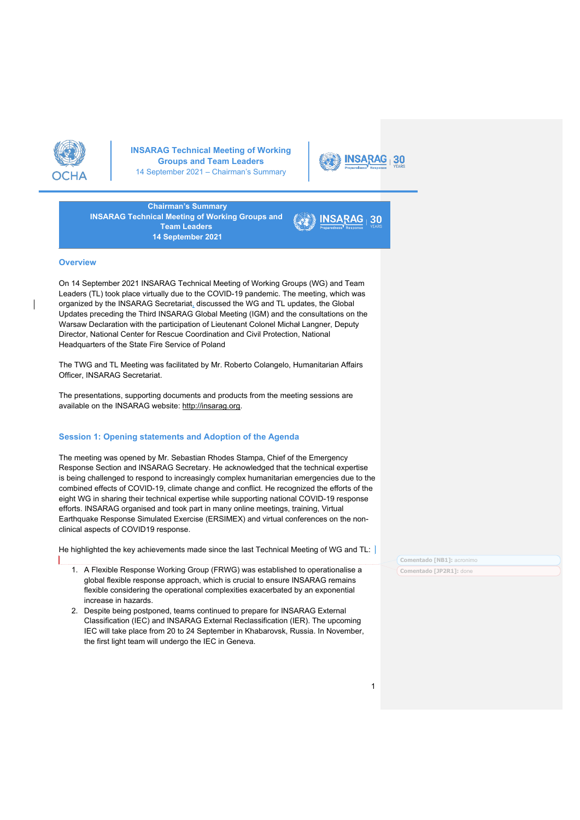



30

**Chairman's Summary INSARAG Technical Meeting of Working Groups and Team Leaders 14 September 2021**

#### **Overview**

1

On 14 September 2021 INSARAG Technical Meeting of Working Groups (WG) and Team Leaders (TL) took place virtually due to the COVID-19 pandemic. The meeting, which was organized by the INSARAG Secretariat, discussed the WG and TL updates, the Global Updates preceding the Third INSARAG Global Meeting (IGM) and the consultations on the Warsaw Declaration with the participation of Lieutenant Colonel Michał Langner, Deputy Director, National Center for Rescue Coordination and Civil Protection, National Headquarters of the State Fire Service of Poland

The TWG and TL Meeting was facilitated by Mr. Roberto Colangelo, Humanitarian Affairs Officer, INSARAG Secretariat.

The presentations, supporting documents and products from the meeting sessions are available on the INSARAG website: http://insarag.org.

### **Session 1: Opening statements and Adoption of the Agenda**

The meeting was opened by Mr. Sebastian Rhodes Stampa, Chief of the Emergency Response Section and INSARAG Secretary. He acknowledged that the technical expertise is being challenged to respond to increasingly complex humanitarian emergencies due to the combined effects of COVID-19, climate change and conflict. He recognized the efforts of the eight WG in sharing their technical expertise while supporting national COVID-19 response efforts. INSARAG organised and took part in many online meetings, training, Virtual Earthquake Response Simulated Exercise (ERSIMEX) and virtual conferences on the nonclinical aspects of COVID19 response.

He highlighted the key achievements made since the last Technical Meeting of WG and TL:

- 1. A Flexible Response Working Group (FRWG) was established to operationalise a global flexible response approach, which is crucial to ensure INSARAG remains flexible considering the operational complexities exacerbated by an exponential increase in hazards.
- 2. Despite being postponed, teams continued to prepare for INSARAG External Classification (IEC) and INSARAG External Reclassification (IER). The upcoming IEC will take place from 20 to 24 September in Khabarovsk, Russia. In November, the first light team will undergo the IEC in Geneva.

**Comentado [NB1]:** acronimo **Comentado [JP2R1]:** done

1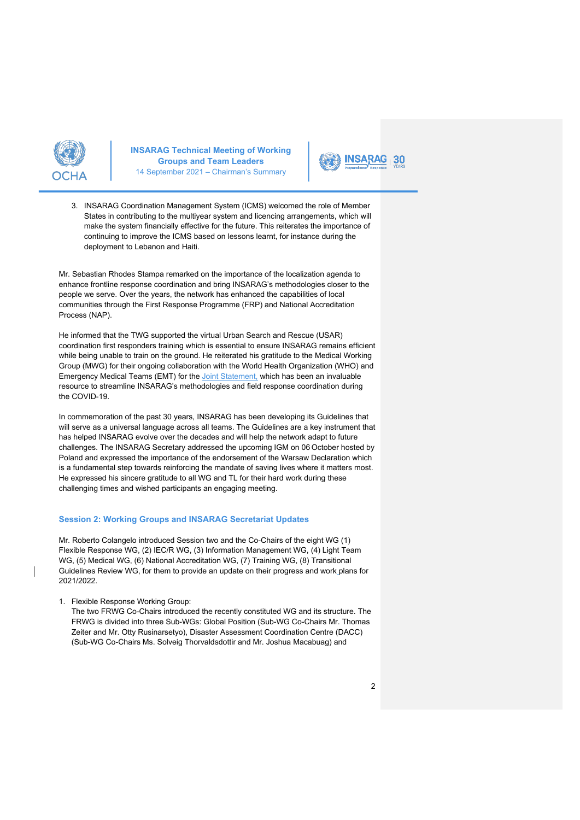



3. INSARAG Coordination Management System (ICMS) welcomed the role of Member States in contributing to the multiyear system and licencing arrangements, which will make the system financially effective for the future. This reiterates the importance of continuing to improve the ICMS based on lessons learnt, for instance during the deployment to Lebanon and Haiti.

Mr. Sebastian Rhodes Stampa remarked on the importance of the localization agenda to enhance frontline response coordination and bring INSARAG's methodologies closer to the people we serve. Over the years, the network has enhanced the capabilities of local communities through the First Response Programme (FRP) and National Accreditation Process (NAP).

He informed that the TWG supported the virtual Urban Search and Rescue (USAR) coordination first responders training which is essential to ensure INSARAG remains efficient while being unable to train on the ground. He reiterated his gratitude to the Medical Working Group (MWG) for their ongoing collaboration with the World Health Organization (WHO) and Emergency Medical Teams (EMT) for the Joint Statement, which has been an invaluable resource to streamline INSARAG's methodologies and field response coordination during the COVID-19.

In commemoration of the past 30 years, INSARAG has been developing its Guidelines that will serve as a universal language across all teams. The Guidelines are a key instrument that has helped INSARAG evolve over the decades and will help the network adapt to future challenges. The INSARAG Secretary addressed the upcoming IGM on 06 October hosted by Poland and expressed the importance of the endorsement of the Warsaw Declaration which is a fundamental step towards reinforcing the mandate of saving lives where it matters most. He expressed his sincere gratitude to all WG and TL for their hard work during these challenging times and wished participants an engaging meeting.

## **Session 2: Working Groups and INSARAG Secretariat Updates**

Mr. Roberto Colangelo introduced Session two and the Co-Chairs of the eight WG (1) Flexible Response WG, (2) IEC/R WG, (3) Information Management WG, (4) Light Team WG, (5) Medical WG, (6) National Accreditation WG, (7) Training WG, (8) Transitional Guidelines Review WG, for them to provide an update on their progress and work plans for 2021/2022.

1. Flexible Response Working Group:

The two FRWG Co-Chairs introduced the recently constituted WG and its structure. The FRWG is divided into three Sub-WGs: Global Position (Sub-WG Co-Chairs Mr. Thomas Zeiter and Mr. Otty Rusinarsetyo), Disaster Assessment Coordination Centre (DACC) (Sub-WG Co-Chairs Ms. Solveig Thorvaldsdottir and Mr. Joshua Macabuag) and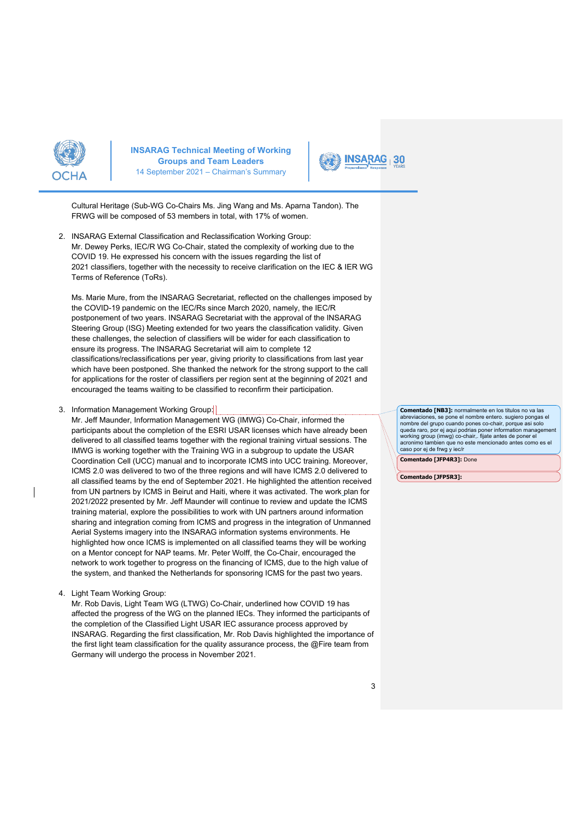



Cultural Heritage (Sub-WG Co-Chairs Ms. Jing Wang and Ms. Aparna Tandon). The FRWG will be composed of 53 members in total, with 17% of women.

2. INSARAG External Classification and Reclassification Working Group: Mr. Dewey Perks, IEC/R WG Co-Chair, stated the complexity of working due to the COVID 19. He expressed his concern with the issues regarding the list of 2021 classifiers, together with the necessity to receive clarification on the IEC & IER WG Terms of Reference (ToRs).

Ms. Marie Mure, from the INSARAG Secretariat, reflected on the challenges imposed by the COVID-19 pandemic on the IEC/Rs since March 2020, namely, the IEC/R postponement of two years. INSARAG Secretariat with the approval of the INSARAG Steering Group (ISG) Meeting extended for two years the classification validity. Given these challenges, the selection of classifiers will be wider for each classification to ensure its progress. The INSARAG Secretariat will aim to complete 12 classifications/reclassifications per year, giving priority to classifications from last year which have been postponed. She thanked the network for the strong support to the call for applications for the roster of classifiers per region sent at the beginning of 2021 and encouraged the teams waiting to be classified to reconfirm their participation.

## 3. Information Management Working Group:

Mr. Jeff Maunder, Information Management WG (IMWG) Co-Chair, informed the participants about the completion of the ESRI USAR licenses which have already been delivered to all classified teams together with the regional training virtual sessions. The IMWG is working together with the Training WG in a subgroup to update the USAR Coordination Cell (UCC) manual and to incorporate ICMS into UCC training. Moreover, ICMS 2.0 was delivered to two of the three regions and will have ICMS 2.0 delivered to all classified teams by the end of September 2021. He highlighted the attention received from UN partners by ICMS in Beirut and Haiti, where it was activated. The work plan for 2021/2022 presented by Mr. Jeff Maunder will continue to review and update the ICMS training material, explore the possibilities to work with UN partners around information sharing and integration coming from ICMS and progress in the integration of Unmanned Aerial Systems imagery into the INSARAG information systems environments. He highlighted how once ICMS is implemented on all classified teams they will be working on a Mentor concept for NAP teams. Mr. Peter Wolff, the Co-Chair, encouraged the network to work together to progress on the financing of ICMS, due to the high value of the system, and thanked the Netherlands for sponsoring ICMS for the past two years.

4. Light Team Working Group:

Mr. Rob Davis, Light Team WG (LTWG) Co-Chair, underlined how COVID 19 has affected the progress of the WG on the planned IECs. They informed the participants of the completion of the Classified Light USAR IEC assurance process approved by INSARAG. Regarding the first classification, Mr. Rob Davis highlighted the importance of the first light team classification for the quality assurance process, the @Fire team from Germany will undergo the process in November 2021.

**Comentado [NB3]:** normalmente en los titulos no va las abreviaciones, se pone el nombre entero. sugiero pongas el nombre del grupo cuando pones co-chair, porque asi solo queda raro, por ej aqui podrias poner information management working group (imwg) co-chair,. fijate antes de poner el acronimo tambien que no este mencionado antes como es el caso por ej de frwg y iec/r

**Comentado [JFP4R3]:** Done

**Comentado [JFP5R3]:**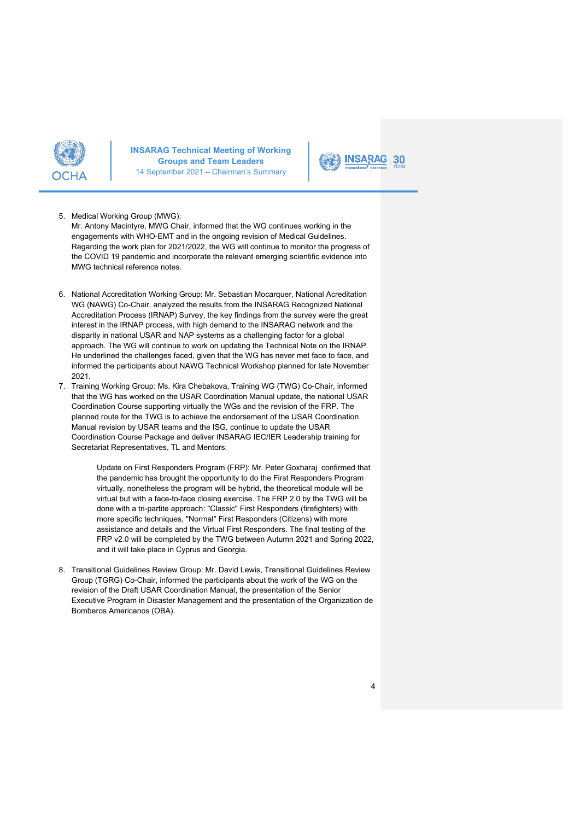



#### 5. Medical Working Group (MWG):

Mr. Antony Macintyre, MWG Chair, informed that the WG continues working in the engagements with WHO-EMT and in the ongoing revision of Medical Guidelines. Regarding the work plan for 2021/2022, the WG will continue to monitor the progress of the COVID 19 pandemic and incorporate the relevant emerging scientific evidence into MWG technical reference notes.

- 6. National Accreditation Working Group: Mr. Sebastian Mocarquer, National Acreditation WG (NAWG) Co-Chair, analyzed the results from the INSARAG Recognized National Accreditation Process (IRNAP) Survey, the key findings from the survey were the great interest in the IRNAP process, with high demand to the INSARAG network and the disparity in national USAR and NAP systems as a challenging factor for a global approach. The WG will continue to work on updating the Technical Note on the IRNAP. He underlined the challenges faced, given that the WG has never met face to face, and informed the participants about NAWG Technical Workshop planned for late November 2021.
- 7. Training Working Group: Ms. Kira Chebakova, Training WG (TWG) Co-Chair, informed that the WG has worked on the USAR Coordination Manual update, the national USAR Coordination Course supporting virtually the WGs and the revision of the FRP. The planned route for the TWG is to achieve the endorsement of the USAR Coordination Manual revision by USAR teams and the ISG, continue to update the USAR Coordination Course Package and deliver INSARAG IEC/IER Leadership training for Secretariat Representatives, TL and Mentors.

Update on First Responders Program (FRP): Mr. Peter Goxharaj confirmed that the pandemic has brought the opportunity to do the First Responders Program virtually, nonetheless the program will be hybrid, the theoretical module will be virtual but with a face-to-face closing exercise. The FRP 2.0 by the TWG will be done with a tri-partite approach: "Classic" First Responders (firefighters) with more specific techniques, "Normal" First Responders (Citizens) with more assistance and details and the Virtual First Responders. The final testing of the FRP v2.0 will be completed by the TWG between Autumn 2021 and Spring 2022, and it will take place in Cyprus and Georgia.

8. Transitional Guidelines Review Group: Mr. David Lewis, Transitional Guidelines Review Group (TGRG) Co-Chair, informed the participants about the work of the WG on the revision of the Draft USAR Coordination Manual, the presentation of the Senior Executive Program in Disaster Management and the presentation of the Organization de Bomberos Americanos (OBA).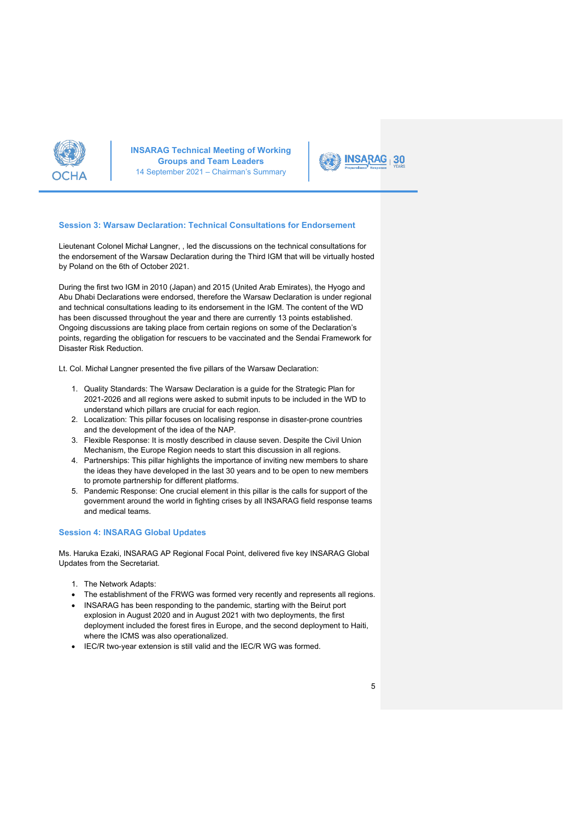



# **Session 3: Warsaw Declaration: Technical Consultations for Endorsement**

Lieutenant Colonel Michał Langner, , led the discussions on the technical consultations for the endorsement of the Warsaw Declaration during the Third IGM that will be virtually hosted by Poland on the 6th of October 2021.

During the first two IGM in 2010 (Japan) and 2015 (United Arab Emirates), the Hyogo and Abu Dhabi Declarations were endorsed, therefore the Warsaw Declaration is under regional and technical consultations leading to its endorsement in the IGM. The content of the WD has been discussed throughout the year and there are currently 13 points established. Ongoing discussions are taking place from certain regions on some of the Declaration's points, regarding the obligation for rescuers to be vaccinated and the Sendai Framework for Disaster Risk Reduction.

Lt. Col. Michał Langner presented the five pillars of the Warsaw Declaration:

- 1. Quality Standards: The Warsaw Declaration is a guide for the Strategic Plan for 2021-2026 and all regions were asked to submit inputs to be included in the WD to understand which pillars are crucial for each region.
- 2. Localization: This pillar focuses on localising response in disaster-prone countries and the development of the idea of the NAP.
- 3. Flexible Response: It is mostly described in clause seven. Despite the Civil Union Mechanism, the Europe Region needs to start this discussion in all regions.
- 4. Partnerships: This pillar highlights the importance of inviting new members to share the ideas they have developed in the last 30 years and to be open to new members to promote partnership for different platforms.
- 5. Pandemic Response: One crucial element in this pillar is the calls for support of the government around the world in fighting crises by all INSARAG field response teams and medical teams.

#### **Session 4: INSARAG Global Updates**

Ms. Haruka Ezaki, INSARAG AP Regional Focal Point, delivered five key INSARAG Global Updates from the Secretariat.

- 1. The Network Adapts:
- The establishment of the FRWG was formed very recently and represents all regions.
- INSARAG has been responding to the pandemic, starting with the Beirut port explosion in August 2020 and in August 2021 with two deployments, the first deployment included the forest fires in Europe, and the second deployment to Haiti, where the ICMS was also operationalized.
- IEC/R two-year extension is still valid and the IEC/R WG was formed.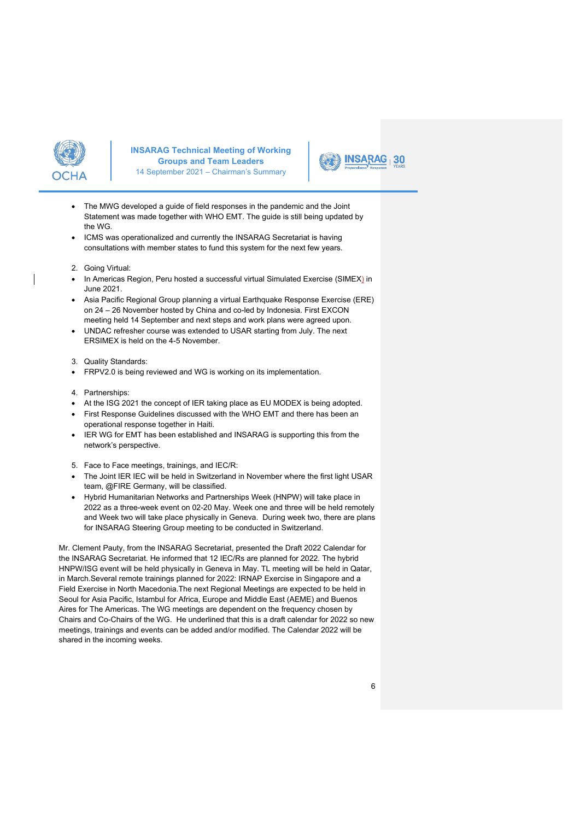



- The MWG developed a guide of field responses in the pandemic and the Joint Statement was made together with WHO EMT. The guide is still being updated by the WG.
- ICMS was operationalized and currently the INSARAG Secretariat is having consultations with member states to fund this system for the next few years.
- 2. Going Virtual:
- In Americas Region, Peru hosted a successful virtual Simulated Exercise (SIMEX) in June 2021.
- Asia Pacific Regional Group planning a virtual Earthquake Response Exercise (ERE) on 24 – 26 November hosted by China and co-led by Indonesia. First EXCON meeting held 14 September and next steps and work plans were agreed upon.
- UNDAC refresher course was extended to USAR starting from July. The next ERSIMEX is held on the 4-5 November.
- 3. Quality Standards:
- FRPV2.0 is being reviewed and WG is working on its implementation.
- 4. Partnerships:
- At the ISG 2021 the concept of IER taking place as EU MODEX is being adopted.
- First Response Guidelines discussed with the WHO EMT and there has been an operational response together in Haiti.
- IER WG for EMT has been established and INSARAG is supporting this from the network's perspective.
- 5. Face to Face meetings, trainings, and IEC/R:
- The Joint IER IEC will be held in Switzerland in November where the first light USAR team, @FIRE Germany, will be classified.
- Hybrid Humanitarian Networks and Partnerships Week (HNPW) will take place in 2022 as a three-week event on 02-20 May. Week one and three will be held remotely and Week two will take place physically in Geneva. During week two, there are plans for INSARAG Steering Group meeting to be conducted in Switzerland.

Mr. Clement Pauty, from the INSARAG Secretariat, presented the Draft 2022 Calendar for the INSARAG Secretariat. He informed that 12 IEC/Rs are planned for 2022. The hybrid HNPW/ISG event will be held physically in Geneva in May. TL meeting will be held in Qatar, in March.Several remote trainings planned for 2022: IRNAP Exercise in Singapore and a Field Exercise in North Macedonia.The next Regional Meetings are expected to be held in Seoul for Asia Pacific, Istambul for Africa, Europe and Middle East (AEME) and Buenos Aires for The Americas. The WG meetings are dependent on the frequency chosen by Chairs and Co-Chairs of the WG. He underlined that this is a draft calendar for 2022 so new meetings, trainings and events can be added and/or modified. The Calendar 2022 will be shared in the incoming weeks.